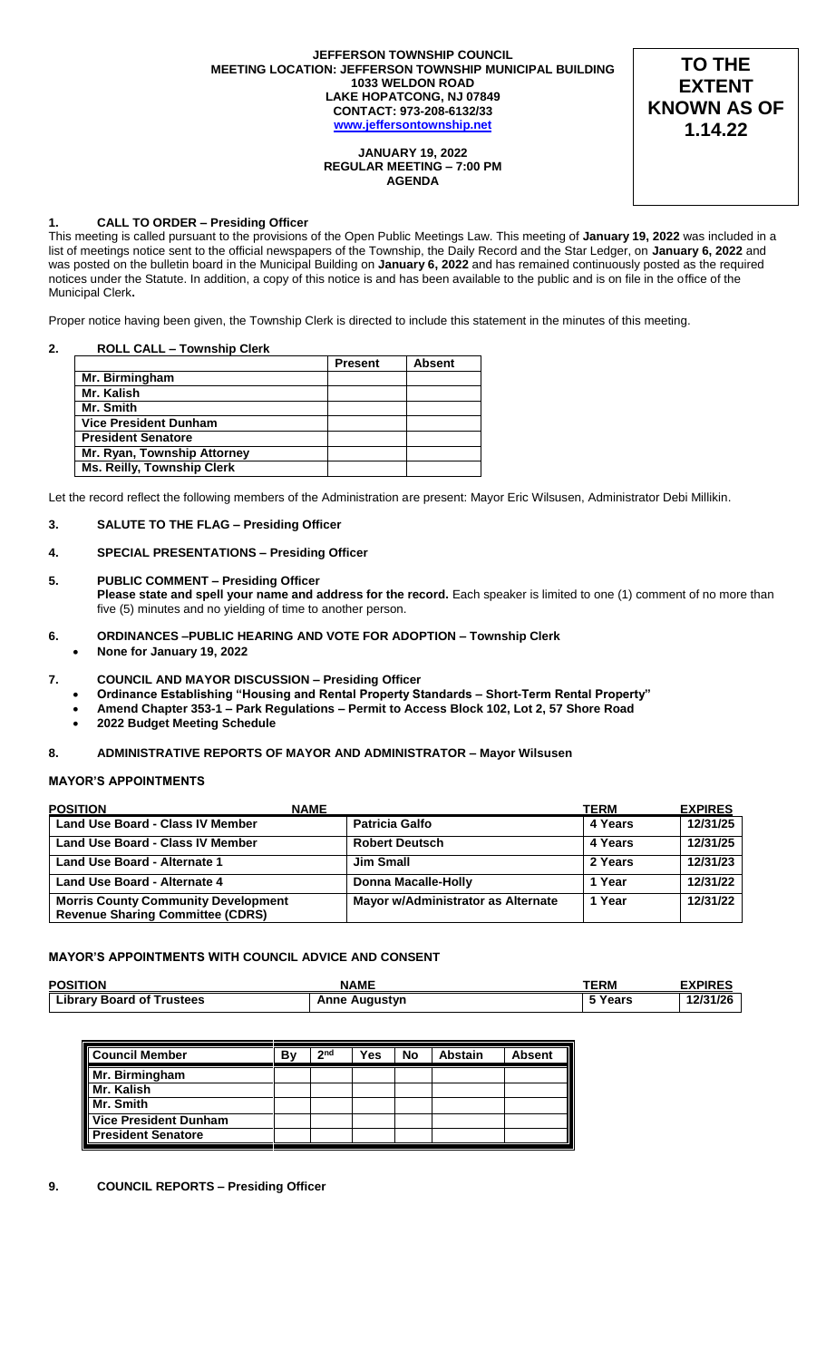### **JEFFERSON TOWNSHIP COUNCIL MEETING LOCATION: JEFFERSON TOWNSHIP MUNICIPAL BUILDING 1033 WELDON ROAD LAKE HOPATCONG, NJ 07849 CONTACT: 973-208-6132/33 [www.jeffersontownship.net](http://www.jeffersontownship.net/)**



# **JANUARY 19, 2022 REGULAR MEETING – 7:00 PM AGENDA**

# **1. CALL TO ORDER – Presiding Officer**

This meeting is called pursuant to the provisions of the Open Public Meetings Law. This meeting of **January 19, 2022** was included in a list of meetings notice sent to the official newspapers of the Township, the Daily Record and the Star Ledger, on **January 6, 2022** and was posted on the bulletin board in the Municipal Building on **January 6, 2022** and has remained continuously posted as the required notices under the Statute. In addition, a copy of this notice is and has been available to the public and is on file in the office of the Municipal Clerk**.** 

Proper notice having been given, the Township Clerk is directed to include this statement in the minutes of this meeting.

# **2. ROLL CALL – Township Clerk**

|                                   | <b>Present</b> | <b>Absent</b> |
|-----------------------------------|----------------|---------------|
| Mr. Birmingham                    |                |               |
| Mr. Kalish                        |                |               |
| Mr. Smith                         |                |               |
| <b>Vice President Dunham</b>      |                |               |
| <b>President Senatore</b>         |                |               |
| Mr. Ryan, Township Attorney       |                |               |
| <b>Ms. Reilly, Township Clerk</b> |                |               |

Let the record reflect the following members of the Administration are present: Mayor Eric Wilsusen, Administrator Debi Millikin.

# **3. SALUTE TO THE FLAG – Presiding Officer**

# **4. [SPECIAL PRESENTATIONS](file://///JR2DATA/Clerk/Council%20Documents/Meetings/2018%20Meetings/EAGLE%20SCOUTS) – Presiding Officer**

### **5. PUBLIC COMMENT – Presiding Officer**

**Please state and spell your name and address for the record.** Each speaker is limited to one (1) comment of no more than five (5) minutes and no yielding of time to another person.

- **6. ORDINANCES –PUBLIC HEARING AND VOTE FOR ADOPTION – Township Clerk None for January 19, 2022**
- 
- **7. COUNCIL AND MAYOR DISCUSSION – Presiding Officer**
	- **Ordinance Establishing "Housing and Rental Property Standards – Short-Term Rental Property"**
	- **Amend Chapter 353-1 – Park Regulations – Permit to Access Block 102, Lot 2, 57 Shore Road**
		- **2022 Budget Meeting Schedule**

### **8. ADMINISTRATIVE REPORTS OF MAYOR AND ADMINISTRATOR – Mayor Wilsusen**

# **MAYOR'S APPOINTMENTS**

| <b>POSITION</b>                                                                       | <b>NAME</b>                        | TERM    | <b>EXPIRES</b> |
|---------------------------------------------------------------------------------------|------------------------------------|---------|----------------|
| <b>Land Use Board - Class IV Member</b>                                               | <b>Patricia Galfo</b>              | 4 Years | 12/31/25       |
| Land Use Board - Class IV Member                                                      | <b>Robert Deutsch</b>              | 4 Years | 12/31/25       |
| Land Use Board - Alternate 1                                                          | <b>Jim Small</b>                   | 2 Years | 12/31/23       |
| Land Use Board - Alternate 4                                                          | Donna Macalle-Holly                | 1 Year  | 12/31/22       |
| <b>Morris County Community Development</b><br><b>Revenue Sharing Committee (CDRS)</b> | Mayor w/Administrator as Alternate | 1 Year  | 12/31/22       |

# **MAYOR'S APPOINTMENTS WITH COUNCIL ADVICE AND CONSENT**

| <b>POSITION</b>                  | <b>NAME</b>          | <b>TERM</b>    | <b>EXPIRES</b> |
|----------------------------------|----------------------|----------------|----------------|
| <b>Library Board of Trustees</b> | <b>Anne Augustyn</b> | <b>ີ Years</b> | 12/31/26       |

| <b>Council Member</b>     | B٧ | 2 <sub>nd</sub> | Yes | No | <b>Abstain</b> | <b>Absent</b> |
|---------------------------|----|-----------------|-----|----|----------------|---------------|
| Mr. Birmingham            |    |                 |     |    |                |               |
| Mr. Kalish                |    |                 |     |    |                |               |
| Mr. Smith                 |    |                 |     |    |                |               |
| Vice President Dunham     |    |                 |     |    |                |               |
| <b>President Senatore</b> |    |                 |     |    |                |               |

### **9. COUNCIL REPORTS – Presiding Officer**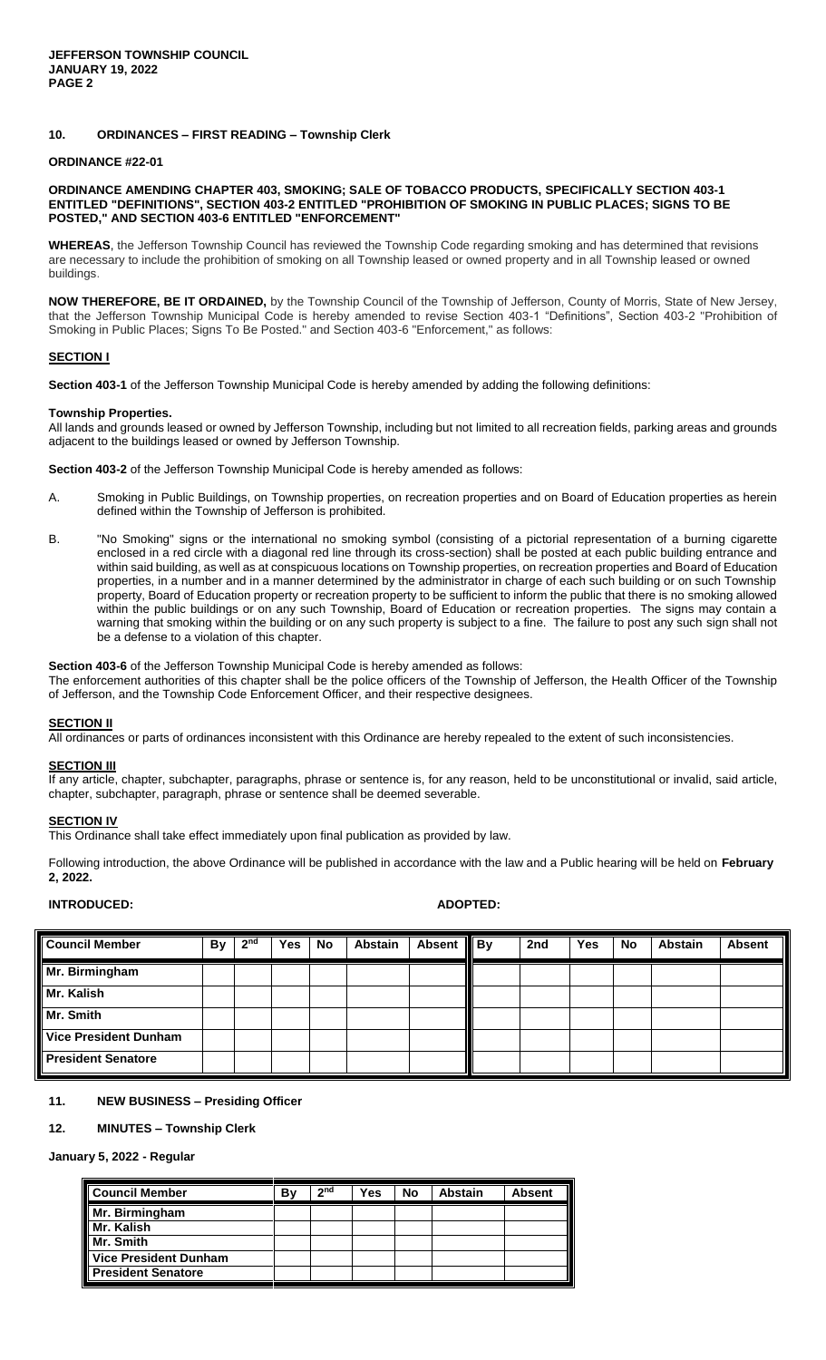# **10. ORDINANCES – FIRST READING – Township Clerk**

# **ORDINANCE #22-01**

# **ORDINANCE AMENDING CHAPTER 403, SMOKING; SALE OF TOBACCO PRODUCTS, SPECIFICALLY SECTION 403-1 ENTITLED "DEFINITIONS", SECTION 403-2 ENTITLED "PROHIBITION OF SMOKING IN PUBLIC PLACES; SIGNS TO BE POSTED," AND SECTION 403-6 ENTITLED "ENFORCEMENT"**

**WHEREAS**, the Jefferson Township Council has reviewed the Township Code regarding smoking and has determined that revisions are necessary to include the prohibition of smoking on all Township leased or owned property and in all Township leased or owned buildings.

**NOW THEREFORE, BE IT ORDAINED,** by the Township Council of the Township of Jefferson, County of Morris, State of New Jersey, that the Jefferson Township Municipal Code is hereby amended to revise Section 403-1 "Definitions", Section 403-2 "Prohibition of Smoking in Public Places; Signs To Be Posted." and Section 403-6 "Enforcement," as follows:

### **SECTION I**

**Section 403-1** of the Jefferson Township Municipal Code is hereby amended by adding the following definitions:

### **Township Properties.**

All lands and grounds leased or owned by Jefferson Township, including but not limited to all recreation fields, parking areas and grounds adjacent to the buildings leased or owned by Jefferson Township.

**Section 403-2** of the Jefferson Township Municipal Code is hereby amended as follows:

- A. Smoking in Public Buildings, on Township properties, on recreation properties and on Board of Education properties as herein defined within the Township of Jefferson is prohibited.
- B. "No Smoking" signs or the international no smoking symbol (consisting of a pictorial representation of a burning cigarette enclosed in a red circle with a diagonal red line through its cross-section) shall be posted at each public building entrance and within said building, as well as at conspicuous locations on Township properties, on recreation properties and Board of Education properties, in a number and in a manner determined by the administrator in charge of each such building or on such Township property, Board of Education property or recreation property to be sufficient to inform the public that there is no smoking allowed within the public buildings or on any such Township, Board of Education or recreation properties. The signs may contain a warning that smoking within the building or on any such property is subject to a fine. The failure to post any such sign shall not be a defense to a violation of this chapter.

### **Section 403-6** of the Jefferson Township Municipal Code is hereby amended as follows:

The enforcement authorities of this chapter shall be the police officers of the Township of Jefferson, the Health Officer of the Township of Jefferson, and the Township Code Enforcement Officer, and their respective designees.

### **SECTION II**

All ordinances or parts of ordinances inconsistent with this Ordinance are hereby repealed to the extent of such inconsistencies.

### **SECTION III**

If any article, chapter, subchapter, paragraphs, phrase or sentence is, for any reason, held to be unconstitutional or invalid, said article, chapter, subchapter, paragraph, phrase or sentence shall be deemed severable.

### **SECTION IV**

This Ordinance shall take effect immediately upon final publication as provided by law.

Following introduction, the above Ordinance will be published in accordance with the law and a Public hearing will be held on **February 2, 2022.**

### **INTRODUCED: ADOPTED:**

| <b>Council Member</b>        | By | 2 <sub>nd</sub> | <b>Yes</b> | No | Abstain | Absent    By | 2nd | Yes | No | <b>Abstain</b> | <b>Absent</b> |
|------------------------------|----|-----------------|------------|----|---------|--------------|-----|-----|----|----------------|---------------|
| Mr. Birmingham               |    |                 |            |    |         |              |     |     |    |                |               |
| Mr. Kalish                   |    |                 |            |    |         |              |     |     |    |                |               |
| Mr. Smith                    |    |                 |            |    |         |              |     |     |    |                |               |
| <b>Vice President Dunham</b> |    |                 |            |    |         |              |     |     |    |                |               |
| <b>President Senatore</b>    |    |                 |            |    |         |              |     |     |    |                |               |

# **11. NEW BUSINESS – Presiding Officer**

# **12. MINUTES – Township Clerk**

# **January 5, 2022 - Regular**

| <b>Council Member</b>        | В١ | 2 <sub>nd</sub> | Yes | No | <b>Abstain</b> | <b>Absent</b> |
|------------------------------|----|-----------------|-----|----|----------------|---------------|
| Mr. Birmingham               |    |                 |     |    |                |               |
| Mr. Kalish                   |    |                 |     |    |                |               |
| Mr. Smith                    |    |                 |     |    |                |               |
| <b>Vice President Dunham</b> |    |                 |     |    |                |               |
| <b>President Senatore</b>    |    |                 |     |    |                |               |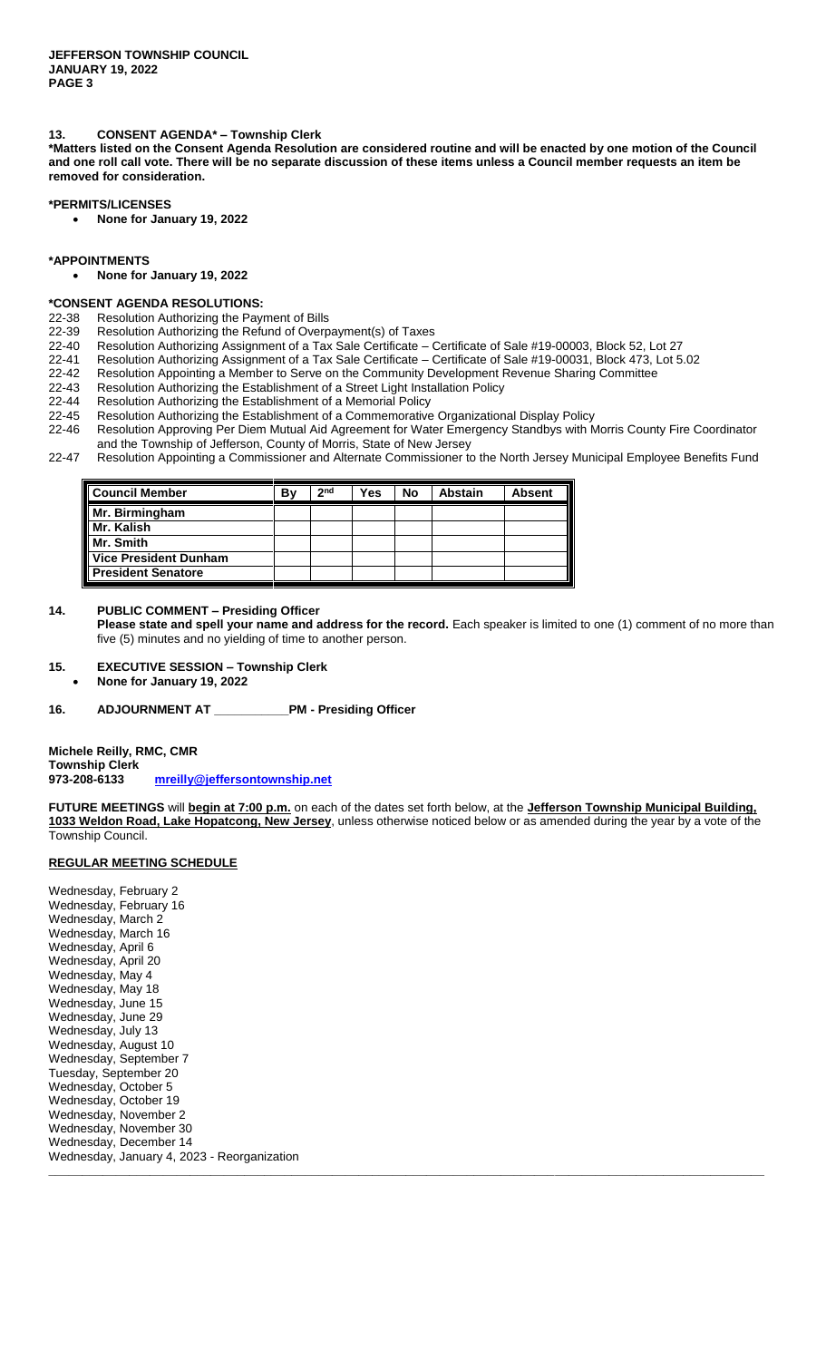# **13. CONSENT AGENDA\* – Township Clerk**

**\*Matters listed on the Consent Agenda Resolution are considered routine and will be enacted by one motion of the Council and one roll call vote. There will be no separate discussion of these items unless a Council member requests an item be removed for consideration.**

# **\*PERMITS/LICENSES**

**None for January 19, 2022**

### **\*APPOINTMENTS**

**None for January 19, 2022**

# **\*CONSENT AGENDA RESOLUTIONS:**

- 22-38 Resolution Authorizing the Payment of Bills<br>22-39 Resolution Authorizing the Refund of Overp
- 22-39 Resolution Authorizing the Refund of Overpayment(s) of Taxes<br>22-40 Resolution Authorizing Assignment of a Tax Sale Certificate 0
- 22-40 Resolution Authorizing Assignment of a Tax Sale Certificate Certificate of Sale #19-00003, Block 52, Lot 27
- 22-41 Resolution Authorizing Assignment of a Tax Sale Certificate Certificate of Sale #19-00031, Block 473, Lot 5.02
- 22-42 Resolution Appointing a Member to Serve on the Community Development Revenue Sharing Committee
- 22-43 Resolution Authorizing the Establishment of a Street Light Installation Policy
- 22-44 Resolution Authorizing the Establishment of a Memorial Policy
- 22-45 Resolution Authorizing the Establishment of a Commemorative Organizational Display Policy<br>22-46 Resolution Approving Per Diem Mutual Aid Agreement for Water Emergency Standbys with N
- Resolution Approving Per Diem Mutual Aid Agreement for Water Emergency Standbys with Morris County Fire Coordinator and the Township of Jefferson, County of Morris, State of New Jersey
- 22-47 Resolution Appointing a Commissioner and Alternate Commissioner to the North Jersey Municipal Employee Benefits Fund

| Council Member               | B٧ | 2 <sub>nd</sub> | Yes | No | <b>Abstain</b> | <b>Absent</b> |
|------------------------------|----|-----------------|-----|----|----------------|---------------|
| Mr. Birmingham               |    |                 |     |    |                |               |
| Mr. Kalish                   |    |                 |     |    |                |               |
| Mr. Smith                    |    |                 |     |    |                |               |
| <b>Vice President Dunham</b> |    |                 |     |    |                |               |
| <b>President Senatore</b>    |    |                 |     |    |                |               |

# **14. PUBLIC COMMENT – Presiding Officer**

**Please state and spell your name and address for the record.** Each speaker is limited to one (1) comment of no more than five (5) minutes and no yielding of time to another person.

### **15. EXECUTIVE SESSION – Township Clerk**

**None for January 19, 2022**

# **16. ADJOURNMENT AT \_\_\_\_\_\_\_\_\_\_\_PM - Presiding Officer**

**Michele Reilly, RMC, CMR Township Clerk 973-208-6133 [mreilly@jeffersontownship.net](mailto:mreilly@jeffersontownship.net)**

**FUTURE MEETINGS** will **begin at 7:00 p.m.** on each of the dates set forth below, at the **Jefferson Township Municipal Building, 1033 Weldon Road, Lake Hopatcong, New Jersey**, unless otherwise noticed below or as amended during the year by a vote of the Township Council.

**\_\_\_\_\_\_\_\_\_\_\_\_\_\_\_\_\_\_\_\_\_\_\_\_\_\_\_\_\_\_\_\_\_\_\_\_\_\_\_\_\_\_\_\_\_\_\_\_\_\_\_\_\_\_\_\_\_\_\_\_\_\_\_\_\_\_\_\_\_\_\_\_\_\_\_\_\_\_\_\_\_\_\_\_\_\_\_\_\_\_\_\_\_\_\_\_\_\_\_\_\_\_\_\_\_\_**

# **REGULAR MEETING SCHEDULE**

Wednesday, February 2 Wednesday, February 16 Wednesday, March 2 Wednesday, March 16 Wednesday, April 6 Wednesday, April 20 Wednesday, May 4 Wednesday, May 18 Wednesday, June 15 Wednesday, June 29 Wednesday, July 13 Wednesday, August 10 Wednesday, September 7 Tuesday, September 20 Wednesday, October 5 Wednesday, October 19 Wednesday, November 2 Wednesday, November 30 Wednesday, December 14 Wednesday, January 4, 2023 - Reorganization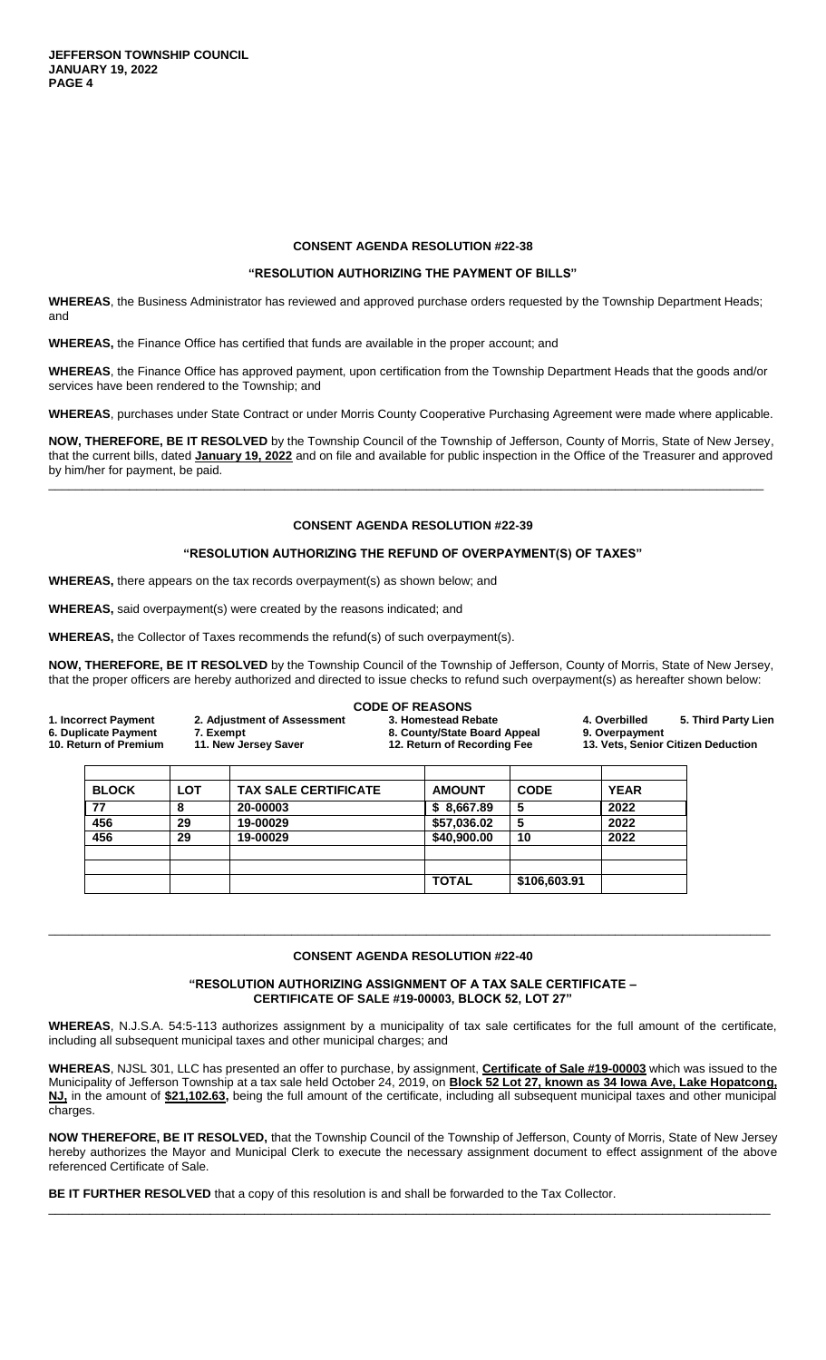**JEFFERSON TOWNSHIP COUNCIL JANUARY 19, 2022 PAGE 4**

# **CONSENT AGENDA RESOLUTION #22-38**

# **"RESOLUTION AUTHORIZING THE PAYMENT OF BILLS"**

**WHEREAS**, the Business Administrator has reviewed and approved purchase orders requested by the Township Department Heads; and

**WHEREAS,** the Finance Office has certified that funds are available in the proper account; and

**WHEREAS**, the Finance Office has approved payment, upon certification from the Township Department Heads that the goods and/or services have been rendered to the Township; and

**WHEREAS**, purchases under State Contract or under Morris County Cooperative Purchasing Agreement were made where applicable.

**NOW, THEREFORE, BE IT RESOLVED** by the Township Council of the Township of Jefferson, County of Morris, State of New Jersey, that the current bills, dated **January 19, 2022** and on file and available for public inspection in the Office of the Treasurer and approved by him/her for payment, be paid. \_\_\_\_\_\_\_\_\_\_\_\_\_\_\_\_\_\_\_\_\_\_\_\_\_\_\_\_\_\_\_\_\_\_\_\_\_\_\_\_\_\_\_\_\_\_\_\_\_\_\_\_\_\_\_\_\_\_\_\_\_\_\_\_\_\_\_\_\_\_\_\_\_\_\_\_\_\_\_\_\_\_\_\_\_\_\_\_\_\_\_\_\_\_\_\_\_\_\_\_\_\_\_\_\_\_

# **CONSENT AGENDA RESOLUTION #22-39**

### **"RESOLUTION AUTHORIZING THE REFUND OF OVERPAYMENT(S) OF TAXES"**

**WHEREAS,** there appears on the tax records overpayment(s) as shown below; and

**WHEREAS,** said overpayment(s) were created by the reasons indicated; and

**WHEREAS,** the Collector of Taxes recommends the refund(s) of such overpayment(s).

**NOW, THEREFORE, BE IT RESOLVED** by the Township Council of the Township of Jefferson, County of Morris, State of New Jersey, that the proper officers are hereby authorized and directed to issue checks to refund such overpayment(s) as hereafter shown below:

|                                                                                                            |              |                             |                                                                                    | <b>CODE OF REASONS</b> |                                                                                              |             |  |
|------------------------------------------------------------------------------------------------------------|--------------|-----------------------------|------------------------------------------------------------------------------------|------------------------|----------------------------------------------------------------------------------------------|-------------|--|
| 1. Incorrect Payment<br>6. Duplicate Payment<br>7. Exempt<br>10. Return of Premium<br>11. New Jersey Saver |              | 2. Adjustment of Assessment | 3. Homestead Rebate<br>8. County/State Board Appeal<br>12. Return of Recording Fee |                        | 5. Third Party Lien<br>4. Overbilled<br>9. Overpayment<br>13. Vets, Senior Citizen Deduction |             |  |
|                                                                                                            | <b>BLOCK</b> | <b>LOT</b>                  | <b>TAX SALE CERTIFICATE</b>                                                        | <b>AMOUNT</b>          | <b>CODE</b>                                                                                  | <b>YEAR</b> |  |
|                                                                                                            | 77           | 8                           | 20-00003                                                                           | \$8,667.89             | 5                                                                                            | 2022        |  |
|                                                                                                            | 456          | 29                          | 19-00029                                                                           | \$57,036.02            | 5                                                                                            | 2022        |  |
|                                                                                                            | 456          | 29                          | 19-00029                                                                           | \$40,900.00            | 10                                                                                           | 2022        |  |
|                                                                                                            |              |                             |                                                                                    |                        |                                                                                              |             |  |
|                                                                                                            |              |                             |                                                                                    | <b>TOTAL</b>           | \$106,603.91                                                                                 |             |  |

# **CONSENT AGENDA RESOLUTION #22-40**

\_\_\_\_\_\_\_\_\_\_\_\_\_\_\_\_\_\_\_\_\_\_\_\_\_\_\_\_\_\_\_\_\_\_\_\_\_\_\_\_\_\_\_\_\_\_\_\_\_\_\_\_\_\_\_\_\_\_\_\_\_\_\_\_\_\_\_\_\_\_\_\_\_\_\_\_\_\_\_\_\_\_\_\_\_\_\_\_\_\_\_\_\_\_\_\_\_\_\_\_\_\_\_\_\_\_\_

**"RESOLUTION AUTHORIZING ASSIGNMENT OF A TAX SALE CERTIFICATE – CERTIFICATE OF SALE #19-00003, BLOCK 52, LOT 27"**

**WHEREAS**, N.J.S.A. 54:5-113 authorizes assignment by a municipality of tax sale certificates for the full amount of the certificate, including all subsequent municipal taxes and other municipal charges; and

**WHEREAS**, NJSL 301, LLC has presented an offer to purchase, by assignment, **Certificate of Sale #19-00003** which was issued to the Municipality of Jefferson Township at a tax sale held October 24, 2019, on **Block 52 Lot 27, known as 34 Iowa Ave, Lake Hopatcong, NJ,** in the amount of **\$21,102.63,** being the full amount of the certificate, including all subsequent municipal taxes and other municipal charges.

**NOW THEREFORE, BE IT RESOLVED,** that the Township Council of the Township of Jefferson, County of Morris, State of New Jersey hereby authorizes the Mayor and Municipal Clerk to execute the necessary assignment document to effect assignment of the above referenced Certificate of Sale.

\_\_\_\_\_\_\_\_\_\_\_\_\_\_\_\_\_\_\_\_\_\_\_\_\_\_\_\_\_\_\_\_\_\_\_\_\_\_\_\_\_\_\_\_\_\_\_\_\_\_\_\_\_\_\_\_\_\_\_\_\_\_\_\_\_\_\_\_\_\_\_\_\_\_\_\_\_\_\_\_\_\_\_\_\_\_\_\_\_\_\_\_\_\_\_\_\_\_\_\_\_\_\_\_\_\_\_

**BE IT FURTHER RESOLVED** that a copy of this resolution is and shall be forwarded to the Tax Collector.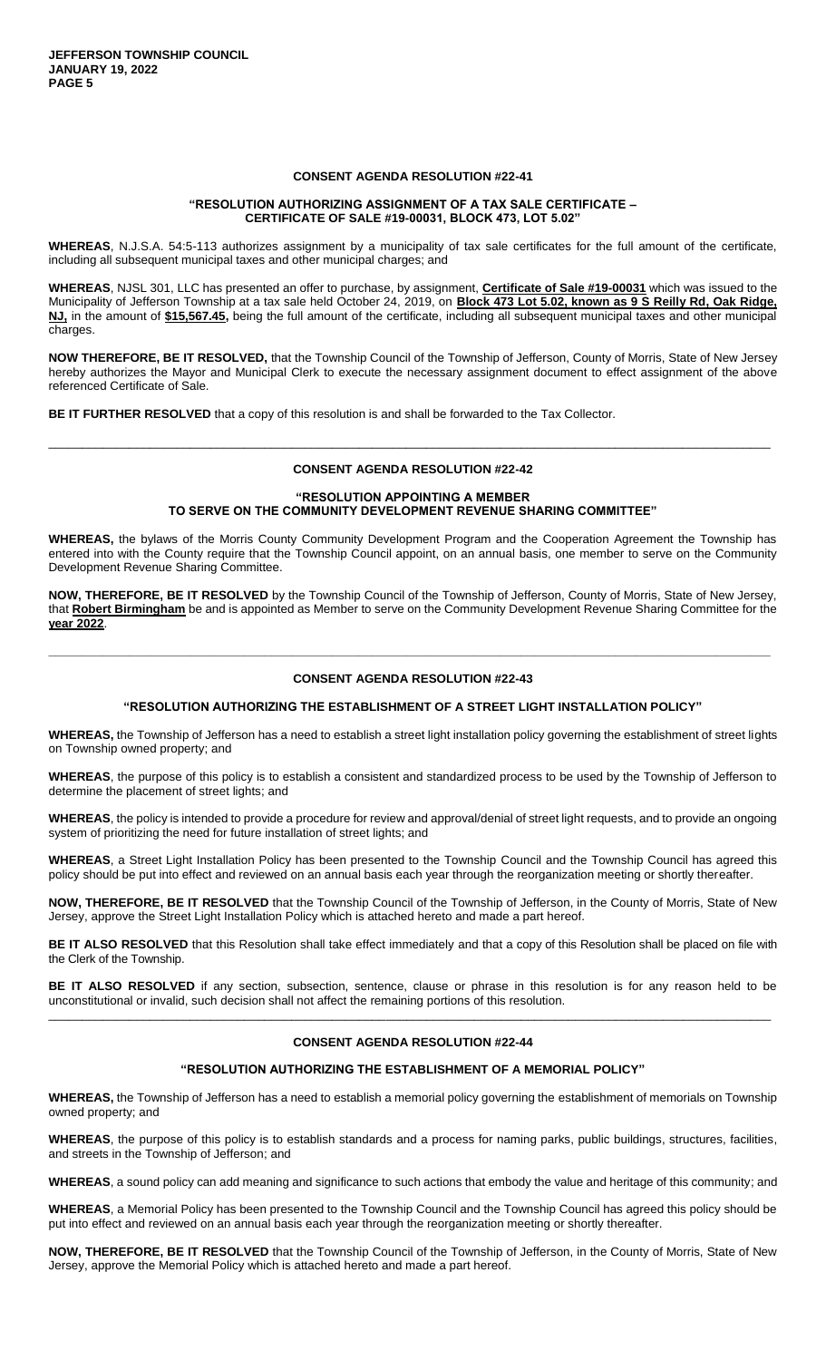### **CONSENT AGENDA RESOLUTION #22-41**

# **"RESOLUTION AUTHORIZING ASSIGNMENT OF A TAX SALE CERTIFICATE – CERTIFICATE OF SALE #19-00031, BLOCK 473, LOT 5.02"**

**WHEREAS**, N.J.S.A. 54:5-113 authorizes assignment by a municipality of tax sale certificates for the full amount of the certificate, including all subsequent municipal taxes and other municipal charges; and

**WHEREAS**, NJSL 301, LLC has presented an offer to purchase, by assignment, **Certificate of Sale #19-00031** which was issued to the Municipality of Jefferson Township at a tax sale held October 24, 2019, on **Block 473 Lot 5.02, known as 9 S Reilly Rd, Oak Ridge, NJ,** in the amount of **\$15,567.45,** being the full amount of the certificate, including all subsequent municipal taxes and other municipal charges.

**NOW THEREFORE, BE IT RESOLVED,** that the Township Council of the Township of Jefferson, County of Morris, State of New Jersey hereby authorizes the Mayor and Municipal Clerk to execute the necessary assignment document to effect assignment of the above referenced Certificate of Sale.

**BE IT FURTHER RESOLVED** that a copy of this resolution is and shall be forwarded to the Tax Collector.

# **CONSENT AGENDA RESOLUTION #22-42**

\_\_\_\_\_\_\_\_\_\_\_\_\_\_\_\_\_\_\_\_\_\_\_\_\_\_\_\_\_\_\_\_\_\_\_\_\_\_\_\_\_\_\_\_\_\_\_\_\_\_\_\_\_\_\_\_\_\_\_\_\_\_\_\_\_\_\_\_\_\_\_\_\_\_\_\_\_\_\_\_\_\_\_\_\_\_\_\_\_\_\_\_\_\_\_\_\_\_\_\_\_\_\_\_\_\_\_

### **"RESOLUTION APPOINTING A MEMBER TO SERVE ON THE COMMUNITY DEVELOPMENT REVENUE SHARING COMMITTEE"**

**WHEREAS,** the bylaws of the Morris County Community Development Program and the Cooperation Agreement the Township has entered into with the County require that the Township Council appoint, on an annual basis, one member to serve on the Community Development Revenue Sharing Committee.

**NOW, THEREFORE, BE IT RESOLVED** by the Township Council of the Township of Jefferson, County of Morris, State of New Jersey, that **Robert Birmingham** be and is appointed as Member to serve on the Community Development Revenue Sharing Committee for the **year 2022**.

# **CONSENT AGENDA RESOLUTION #22-43**

**\_\_\_\_\_\_\_\_\_\_\_\_\_\_\_\_\_\_\_\_\_\_\_\_\_\_\_\_\_\_\_\_\_\_\_\_\_\_\_\_\_\_\_\_\_\_\_\_\_\_\_\_\_\_\_\_\_\_\_\_\_\_\_\_\_\_\_\_\_\_\_\_\_\_\_\_\_\_\_\_\_\_\_\_\_\_\_\_\_\_\_\_\_\_\_\_\_\_\_\_\_\_\_\_\_\_\_**

### **"RESOLUTION AUTHORIZING THE ESTABLISHMENT OF A STREET LIGHT INSTALLATION POLICY"**

**WHEREAS,** the Township of Jefferson has a need to establish a street light installation policy governing the establishment of street lights on Township owned property; and

**WHEREAS**, the purpose of this policy is to establish a consistent and standardized process to be used by the Township of Jefferson to determine the placement of street lights; and

**WHEREAS**, the policy is intended to provide a procedure for review and approval/denial of street light requests, and to provide an ongoing system of prioritizing the need for future installation of street lights; and

**WHEREAS**, a Street Light Installation Policy has been presented to the Township Council and the Township Council has agreed this policy should be put into effect and reviewed on an annual basis each year through the reorganization meeting or shortly thereafter.

**NOW, THEREFORE, BE IT RESOLVED** that the Township Council of the Township of Jefferson, in the County of Morris, State of New Jersey, approve the Street Light Installation Policy which is attached hereto and made a part hereof.

BE IT ALSO RESOLVED that this Resolution shall take effect immediately and that a copy of this Resolution shall be placed on file with the Clerk of the Township.

**BE IT ALSO RESOLVED** if any section, subsection, sentence, clause or phrase in this resolution is for any reason held to be unconstitutional or invalid, such decision shall not affect the remaining portions of this resolution. \_\_\_\_\_\_\_\_\_\_\_\_\_\_\_\_\_\_\_\_\_\_\_\_\_\_\_\_\_\_\_\_\_\_\_\_\_\_\_\_\_\_\_\_\_\_\_\_\_\_\_\_\_\_\_\_\_\_\_\_\_\_\_\_\_\_\_\_\_\_\_\_\_\_\_\_\_\_\_\_\_\_\_\_\_\_\_\_\_\_\_\_\_\_\_\_\_\_\_\_\_\_\_\_\_\_\_

### **CONSENT AGENDA RESOLUTION #22-44**

### **"RESOLUTION AUTHORIZING THE ESTABLISHMENT OF A MEMORIAL POLICY"**

**WHEREAS,** the Township of Jefferson has a need to establish a memorial policy governing the establishment of memorials on Township owned property; and

**WHEREAS**, the purpose of this policy is to establish standards and a process for naming parks, public buildings, structures, facilities, and streets in the Township of Jefferson; and

**WHEREAS**, a sound policy can add meaning and significance to such actions that embody the value and heritage of this community; and

**WHEREAS**, a Memorial Policy has been presented to the Township Council and the Township Council has agreed this policy should be put into effect and reviewed on an annual basis each year through the reorganization meeting or shortly thereafter.

**NOW, THEREFORE, BE IT RESOLVED** that the Township Council of the Township of Jefferson, in the County of Morris, State of New Jersey, approve the Memorial Policy which is attached hereto and made a part hereof.